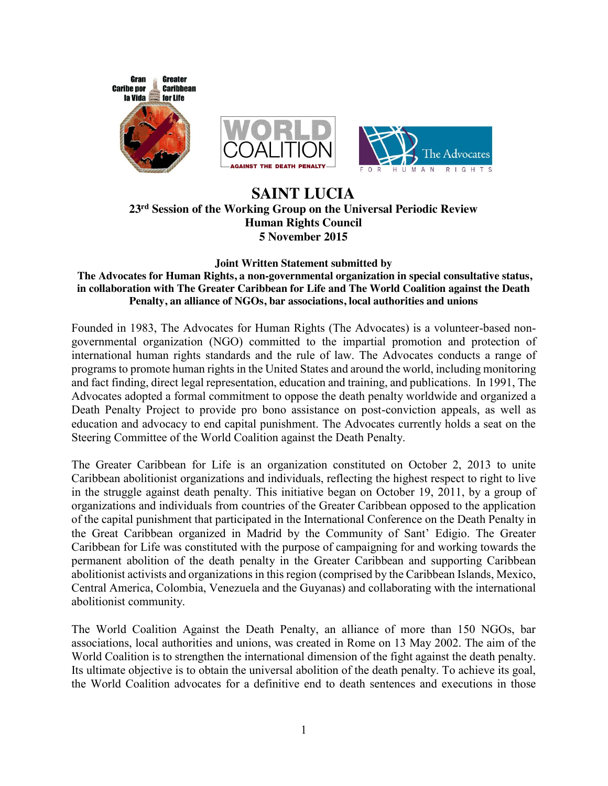

## **SAINT LUCIA 23rd Session of the Working Group on the Universal Periodic Review Human Rights Council 5 November 2015**

#### **Joint Written Statement submitted by**

#### **The Advocates for Human Rights, a non-governmental organization in special consultative status, in collaboration with The Greater Caribbean for Life and The World Coalition against the Death Penalty, an alliance of NGOs, bar associations, local authorities and unions**

Founded in 1983, The Advocates for Human Rights (The Advocates) is a volunteer-based nongovernmental organization (NGO) committed to the impartial promotion and protection of international human rights standards and the rule of law. The Advocates conducts a range of programs to promote human rights in the United States and around the world, including monitoring and fact finding, direct legal representation, education and training, and publications. In 1991, The Advocates adopted a formal commitment to oppose the death penalty worldwide and organized a Death Penalty Project to provide pro bono assistance on post-conviction appeals, as well as education and advocacy to end capital punishment. The Advocates currently holds a seat on the Steering Committee of the World Coalition against the Death Penalty.

The Greater Caribbean for Life is an organization constituted on October 2, 2013 to unite Caribbean abolitionist organizations and individuals, reflecting the highest respect to right to live in the struggle against death penalty. This initiative began on October 19, 2011, by a group of organizations and individuals from countries of the Greater Caribbean opposed to the application of the capital punishment that participated in the International Conference on the Death Penalty in the Great Caribbean organized in Madrid by the Community of Sant' Edigio. The Greater Caribbean for Life was constituted with the purpose of campaigning for and working towards the permanent abolition of the death penalty in the Greater Caribbean and supporting Caribbean abolitionist activists and organizations in this region (comprised by the Caribbean Islands, Mexico, Central America, Colombia, Venezuela and the Guyanas) and collaborating with the international abolitionist community.

The World Coalition Against the Death Penalty, an alliance of more than 150 NGOs, bar associations, local authorities and unions, was created in Rome on 13 May 2002. The aim of the World Coalition is to strengthen the international dimension of the fight against the death penalty. Its ultimate objective is to obtain the universal abolition of the death penalty. To achieve its goal, the World Coalition advocates for a definitive end to death sentences and executions in those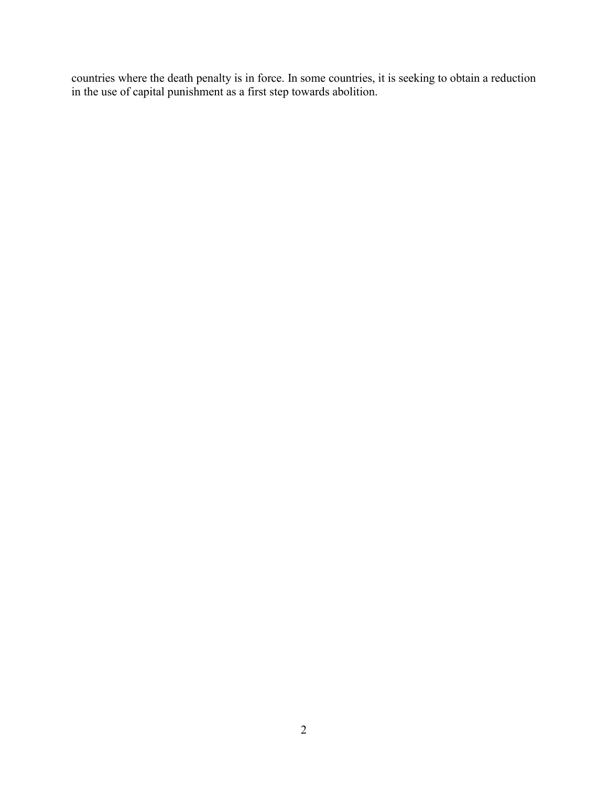countries where the death penalty is in force. In some countries, it is seeking to obtain a reduction in the use of capital punishment as a first step towards abolition.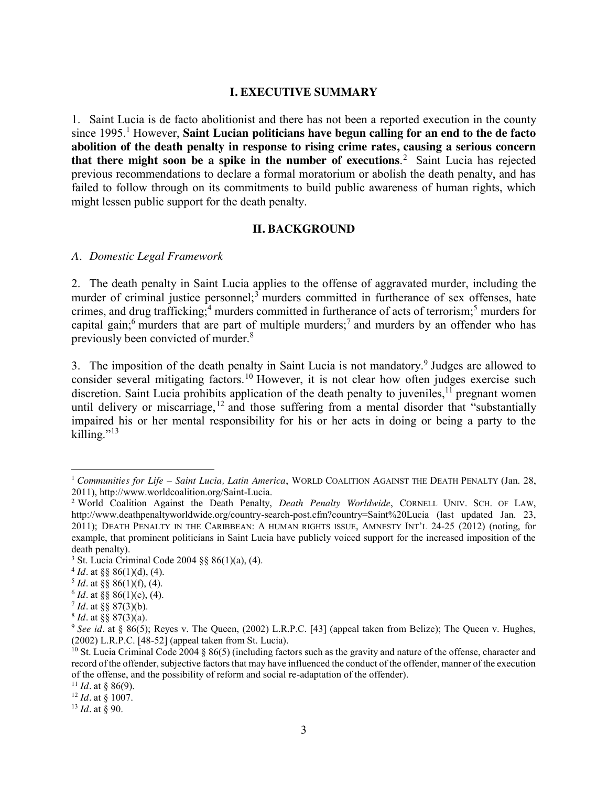#### **I. EXECUTIVE SUMMARY**

1. Saint Lucia is de facto abolitionist and there has not been a reported execution in the county since 1995. <sup>1</sup> However, **Saint Lucian politicians have begun calling for an end to the de facto abolition of the death penalty in response to rising crime rates, causing a serious concern that there might soon be a spike in the number of executions**. <sup>2</sup> Saint Lucia has rejected previous recommendations to declare a formal moratorium or abolish the death penalty, and has failed to follow through on its commitments to build public awareness of human rights, which might lessen public support for the death penalty.

#### **II. BACKGROUND**

#### *A. Domestic Legal Framework*

2. The death penalty in Saint Lucia applies to the offense of aggravated murder, including the murder of criminal justice personnel;<sup>3</sup> murders committed in furtherance of sex offenses, hate crimes, and drug trafficking;<sup>4</sup> murders committed in furtherance of acts of terrorism;<sup>5</sup> murders for capital gain;<sup>6</sup> murders that are part of multiple murders;<sup>7</sup> and murders by an offender who has previously been convicted of murder.<sup>8</sup>

3. The imposition of the death penalty in Saint Lucia is not mandatory.<sup>9</sup> Judges are allowed to consider several mitigating factors.<sup>10</sup> However, it is not clear how often judges exercise such discretion. Saint Lucia prohibits application of the death penalty to juveniles,  $1\overline{1}$  pregnant women until delivery or miscarriage,<sup>12</sup> and those suffering from a mental disorder that "substantially" impaired his or her mental responsibility for his or her acts in doing or being a party to the killing." $^{13}$ 

<sup>&</sup>lt;sup>1</sup> *Communities for Life – Saint Lucia, Latin America*, WORLD COALITION AGAINST THE DEATH PENALTY (Jan. 28, 2011), http://www.worldcoalition.org/Saint-Lucia.

<sup>&</sup>lt;sup>2</sup> World Coalition Against the Death Penalty, *Death Penalty Worldwide*, CORNELL UNIV. SCH. OF LAW, http://www.deathpenaltyworldwide.org/country-search-post.cfm?country=Saint%20Lucia (last updated Jan. 23, 2011); DEATH PENALTY IN THE CARIBBEAN: A HUMAN RIGHTS ISSUE, AMNESTY INT'L 24-25 (2012) (noting, for example, that prominent politicians in Saint Lucia have publicly voiced support for the increased imposition of the death penalty).

<sup>3</sup> St. Lucia Criminal Code 2004 §§ 86(1)(a), (4). 4 *Id.* at §§ 86(1)(d), (4).

 $5$  *Id.* at §§ 86(1)(f), (4).

 $6$  *Id.* at §§ 86(1)(e), (4).

<sup>7</sup> *Id.* at §§ 87(3)(b).

<sup>8</sup> *Id.* at §§ 87(3)(a).

<sup>&</sup>lt;sup>9</sup> See id. at § 86(5); Reyes v. The Queen, (2002) L.R.P.C. [43] (appeal taken from Belize); The Queen v. Hughes, (2002) L.R.P.C. [48-52] (appeal taken from St. Lucia).

<sup>&</sup>lt;sup>10</sup> St. Lucia Criminal Code 2004 § 86(5) (including factors such as the gravity and nature of the offense, character and record of the offender, subjective factors that may have influenced the conduct of the offender, manner of the execution of the offense, and the possibility of reform and social re-adaptation of the offender).

<sup>&</sup>lt;sup>11</sup> *Id.* at § 86(9).

<sup>12</sup> *Id.* at § 1007.

<sup>13</sup> *Id.* at § 90.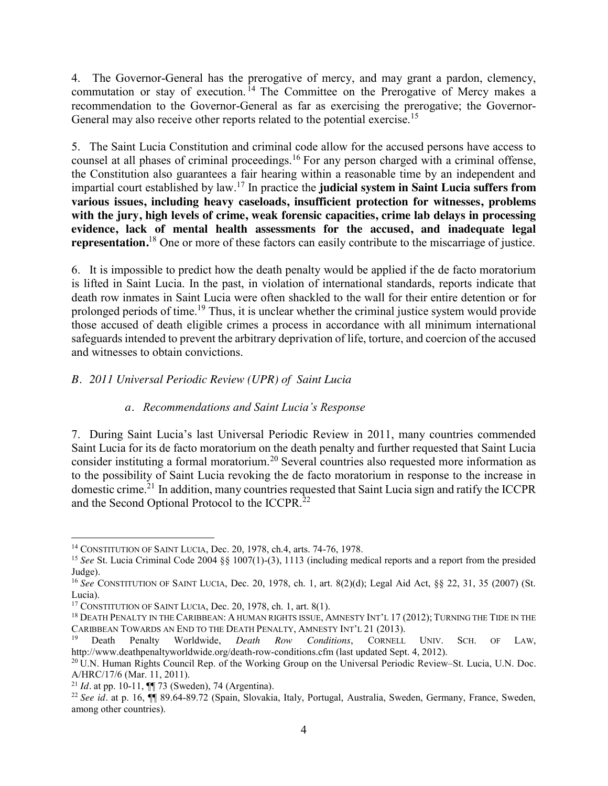4. The Governor-General has the prerogative of mercy, and may grant a pardon, clemency, commutation or stay of execution.<sup>14</sup> The Committee on the Prerogative of Mercy makes a recommendation to the Governor-General as far as exercising the prerogative; the Governor-General may also receive other reports related to the potential exercise.<sup>15</sup>

5. The Saint Lucia Constitution and criminal code allow for the accused persons have access to counsel at all phases of criminal proceedings.<sup>16</sup> For any person charged with a criminal offense, the Constitution also guarantees a fair hearing within a reasonable time by an independent and impartial court established by law. <sup>17</sup> In practice the **judicial system in Saint Lucia suffers from various issues, including heavy caseloads, insufficient protection for witnesses, problems with the jury, high levels of crime, weak forensic capacities, crime lab delays in processing evidence, lack of mental health assessments for the accused, and inadequate legal representation.** <sup>18</sup> One or more of these factors can easily contribute to the miscarriage of justice.

6. It is impossible to predict how the death penalty would be applied if the de facto moratorium is lifted in Saint Lucia. In the past, in violation of international standards, reports indicate that death row inmates in Saint Lucia were often shackled to the wall for their entire detention or for prolonged periods of time.<sup>19</sup> Thus, it is unclear whether the criminal justice system would provide those accused of death eligible crimes a process in accordance with all minimum international safeguards intended to prevent the arbitrary deprivation of life, torture, and coercion of the accused and witnesses to obtain convictions.

## *B. 2011 Universal Periodic Review (UPR) of Saint Lucia*

## *a. Recommendations and Saint Lucia's Response*

7. During Saint Lucia's last Universal Periodic Review in 2011, many countries commended Saint Lucia for its de facto moratorium on the death penalty and further requested that Saint Lucia consider instituting a formal moratorium.<sup>20</sup> Several countries also requested more information as to the possibility of Saint Lucia revoking the de facto moratorium in response to the increase in domestic crime.<sup>21</sup> In addition, many countries requested that Saint Lucia sign and ratify the ICCPR and the Second Optional Protocol to the ICCPR.<sup>22</sup>

 <sup>14</sup> CONSTITUTION OF SAINT LUCIA, Dec. 20, 1978, ch.4, arts. 74-76, 1978.

<sup>15</sup> *See* St. Lucia Criminal Code 2004 §§ 1007(1)-(3), 1113 (including medical reports and a report from the presided Judge).

<sup>16</sup> *See* CONSTITUTION OF SAINT LUCIA, Dec. 20, 1978, ch. 1, art. 8(2)(d); Legal Aid Act, §§ 22, 31, 35 (2007) (St. Lucia).<br><sup>17</sup> CONSTITUTION OF SAINT LUCIA, Dec. 20, 1978, ch. 1, art. 8(1).

<sup>&</sup>lt;sup>18</sup> DEATH PENALTY IN THE CARIBBEAN: A HUMAN RIGHTS ISSUE, AMNESTY INT'L 17 (2012); TURNING THE TIDE IN THE CARIBBEAN TOWARDS AN END TO THE DEATH PENALTY, AMNESTY INT'L 21 (2013).

<sup>&</sup>lt;sup>19</sup> Death Penalty Worldwide, *Death Row Conditions*, CORNELL UNIV. SCH. OF LAW, http://www.deathpenaltyworldwide.org/death-row-conditions.cfm (last updated Sept. 4, 2012).

 $10^{20}$  U.N. Human Rights Council Rep. of the Working Group on the Universal Periodic Review–St. Lucia, U.N. Doc. A/HRC/17/6 (Mar. 11, 2011).<br><sup>21</sup> *Id.* at pp. 10-11, ¶¶ 73 (Sweden), 74 (Argentina).<br><sup>22</sup> *See id.* at p. 16, ¶¶ 89.64-89.72 (Spain, Slovakia, Italy, Portugal, Australia, Sweden, Germany, France, Sweden,

among other countries).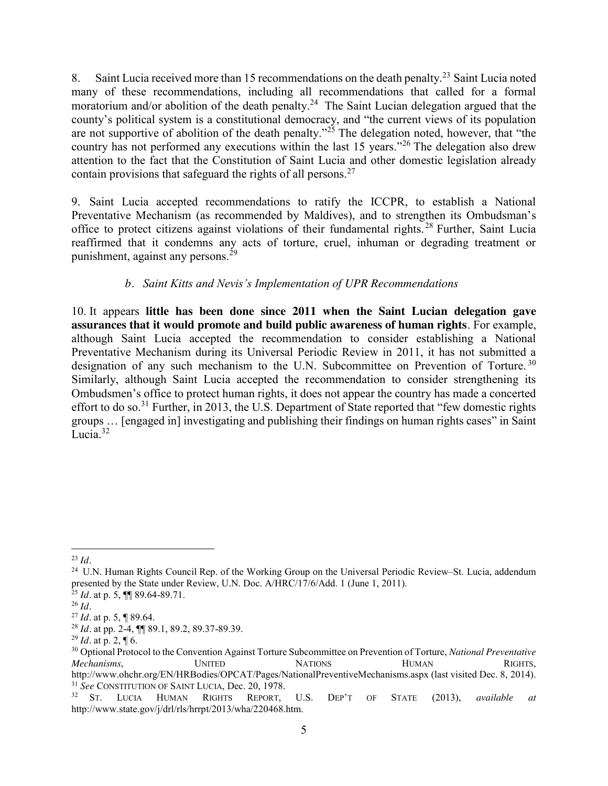8. Saint Lucia received more than 15 recommendations on the death penalty.<sup>23</sup> Saint Lucia noted many of these recommendations, including all recommendations that called for a formal moratorium and/or abolition of the death penalty.<sup>24</sup> The Saint Lucian delegation argued that the county's political system is a constitutional democracy, and "the current views of its population are not supportive of abolition of the death penalty."<sup>25</sup> The delegation noted, however, that "the country has not performed any executions within the last 15 years."<sup>26</sup> The delegation also drew attention to the fact that the Constitution of Saint Lucia and other domestic legislation already contain provisions that safeguard the rights of all persons.<sup>27</sup>

9. Saint Lucia accepted recommendations to ratify the ICCPR, to establish a National Preventative Mechanism (as recommended by Maldives), and to strengthen its Ombudsman's office to protect citizens against violations of their fundamental rights. <sup>28</sup> Further, Saint Lucia reaffirmed that it condemns any acts of torture, cruel, inhuman or degrading treatment or punishment, against any persons.<sup>29</sup>

# *b. Saint Kitts and Nevis's Implementation of UPR Recommendations*

10. It appears **little has been done since 2011 when the Saint Lucian delegation gave assurances that it would promote and build public awareness of human rights**. For example, although Saint Lucia accepted the recommendation to consider establishing a National Preventative Mechanism during its Universal Periodic Review in 2011, it has not submitted a designation of any such mechanism to the U.N. Subcommittee on Prevention of Torture.<sup>30</sup> Similarly, although Saint Lucia accepted the recommendation to consider strengthening its Ombudsmen's office to protect human rights, it does not appear the country has made a concerted effort to do so.<sup>31</sup> Further, in 2013, the U.S. Department of State reported that "few domestic rights" groups … [engaged in] investigating and publishing their findings on human rights cases" in Saint Lucia<sup>32</sup>

 <sup>23</sup> *Id.*

<sup>&</sup>lt;sup>24</sup> U.N. Human Rights Council Rep. of the Working Group on the Universal Periodic Review–St. Lucia, addendum presented by the State under Review, U.N. Doc. A/HRC/17/6/Add. 1 (June 1, 2011).

<sup>25</sup> *Id.* at p. 5, ¶¶ 89.64-89.71. 26 *Id.*

<sup>27</sup> *Id.* at p. 5, ¶ 89.64.

<sup>28</sup> *Id.* at pp. 2-4, ¶¶ 89.1, 89.2, 89.37-89.39. 29 *Id.* at p. 2, ¶ 6.

<sup>30</sup> Optional Protocol to the Convention Against Torture Subcommittee on Prevention of Torture, *National Preventative Mechanisms*, UNITED NATIONS HUMAN RIGHTS, http://www.ohchr.org/EN/HRBodies/OPCAT/Pages/NationalPreventiveMechanisms.aspx (last visited Dec. 8, 2014).<br><sup>31</sup> *See* CONSTITUTION OF SAINT LUCIA, Dec. 20, 1978.<br><sup>32</sup> ST LUCIA HUMAN RIGHTS REPORT. U.S. DEP'T OF STATE (201

<sup>32</sup> ST. LUCIA HUMAN RIGHTS REPORT, U.S. DEP'T OF STATE (2013), *available at*  http://www.state.gov/j/drl/rls/hrrpt/2013/wha/220468.htm.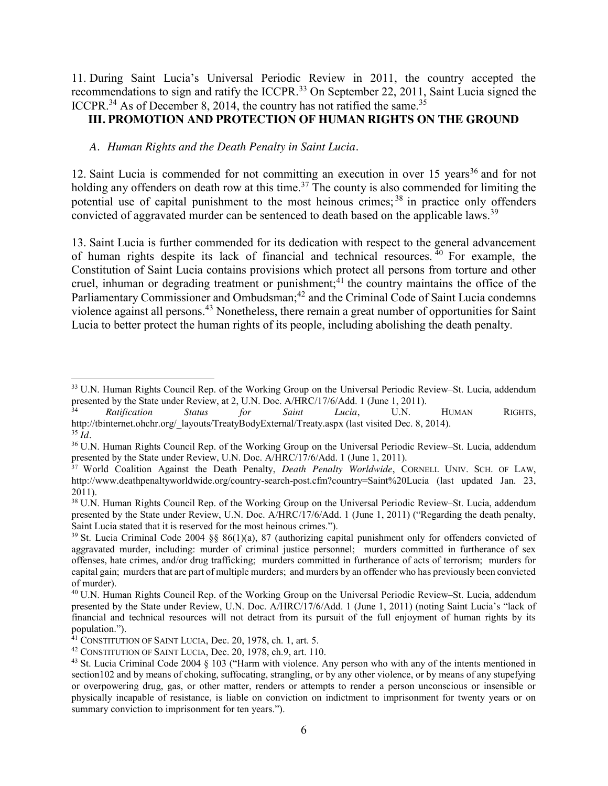11. During Saint Lucia's Universal Periodic Review in 2011, the country accepted the recommendations to sign and ratify the ICCPR.<sup>33</sup> On September 22, 2011, Saint Lucia signed the ICCPR.<sup>34</sup> As of December 8, 2014, the country has not ratified the same.<sup>35</sup>

## **III. PROMOTION AND PROTECTION OF HUMAN RIGHTS ON THE GROUND**

### *A. Human Rights and the Death Penalty in Saint Lucia.*

12. Saint Lucia is commended for not committing an execution in over 15 years<sup>36</sup> and for not holding any offenders on death row at this time.<sup>37</sup> The county is also commended for limiting the potential use of capital punishment to the most heinous crimes;  $38$  in practice only offenders convicted of aggravated murder can be sentenced to death based on the applicable laws.<sup>39</sup>

13. Saint Lucia is further commended for its dedication with respect to the general advancement of human rights despite its lack of financial and technical resources.  $\frac{40}{40}$  For example, the Constitution of Saint Lucia contains provisions which protect all persons from torture and other cruel, inhuman or degrading treatment or punishment;<sup>41</sup> the country maintains the office of the Parliamentary Commissioner and Ombudsman;<sup>42</sup> and the Criminal Code of Saint Lucia condemns violence against all persons.<sup>43</sup> Nonetheless, there remain a great number of opportunities for Saint Lucia to better protect the human rights of its people, including abolishing the death penalty.

<sup>&</sup>lt;sup>33</sup> U.N. Human Rights Council Rep. of the Working Group on the Universal Periodic Review–St. Lucia, addendum presented by the State under Review, at 2, U.N. Doc. A/HRC/17/6/Add. 1 (June 1, 2011).

<sup>34</sup> *Ratification Status for Saint Lucia*, U.N. HUMAN RIGHTS, http://tbinternet.ohchr.org/\_layouts/TreatyBodyExternal/Treaty.aspx (last visited Dec. 8, 2014). 35 *Id.* 

<sup>36</sup> U.N. Human Rights Council Rep. of the Working Group on the Universal Periodic Review–St. Lucia, addendum presented by the State under Review, U.N. Doc. A/HRC/17/6/Add. 1 (June 1, 2011).

<sup>&</sup>lt;sup>37</sup> World Coalition Against the Death Penalty, *Death Penalty Worldwide*, CORNELL UNIV. SCH. OF LAW, http://www.deathpenaltyworldwide.org/country-search-post.cfm?country=Saint%20Lucia (last updated Jan. 23, 2011).

<sup>38</sup> U.N. Human Rights Council Rep. of the Working Group on the Universal Periodic Review–St. Lucia, addendum presented by the State under Review, U.N. Doc. A/HRC/17/6/Add. 1 (June 1, 2011) ("Regarding the death penalty, Saint Lucia stated that it is reserved for the most heinous crimes.").

<sup>&</sup>lt;sup>39</sup> St. Lucia Criminal Code 2004 §§ 86(1)(a), 87 (authorizing capital punishment only for offenders convicted of aggravated murder, including: murder of criminal justice personnel; murders committed in furtherance of sex offenses, hate crimes, and/or drug trafficking; murders committed in furtherance of acts of terrorism; murders for capital gain; murders that are part of multiple murders; and murders by an offender who has previously been convicted of murder).

<sup>40</sup> U.N. Human Rights Council Rep. of the Working Group on the Universal Periodic Review–St. Lucia, addendum presented by the State under Review, U.N. Doc. A/HRC/17/6/Add. 1 (June 1, 2011) (noting Saint Lucia's "lack of financial and technical resources will not detract from its pursuit of the full enjoyment of human rights by its population.").

 $41$  CONSTITUTION OF SAINT LUCIA, Dec. 20, 1978, ch. 1, art. 5.

<sup>42</sup> CONSTITUTION OF SAINT LUCIA, Dec. 20, 1978, ch.9, art. 110.

<sup>&</sup>lt;sup>43</sup> St. Lucia Criminal Code 2004 § 103 ("Harm with violence. Any person who with any of the intents mentioned in section102 and by means of choking, suffocating, strangling, or by any other violence, or by means of any stupefying or overpowering drug, gas, or other matter, renders or attempts to render a person unconscious or insensible or physically incapable of resistance, is liable on conviction on indictment to imprisonment for twenty years or on summary conviction to imprisonment for ten years.").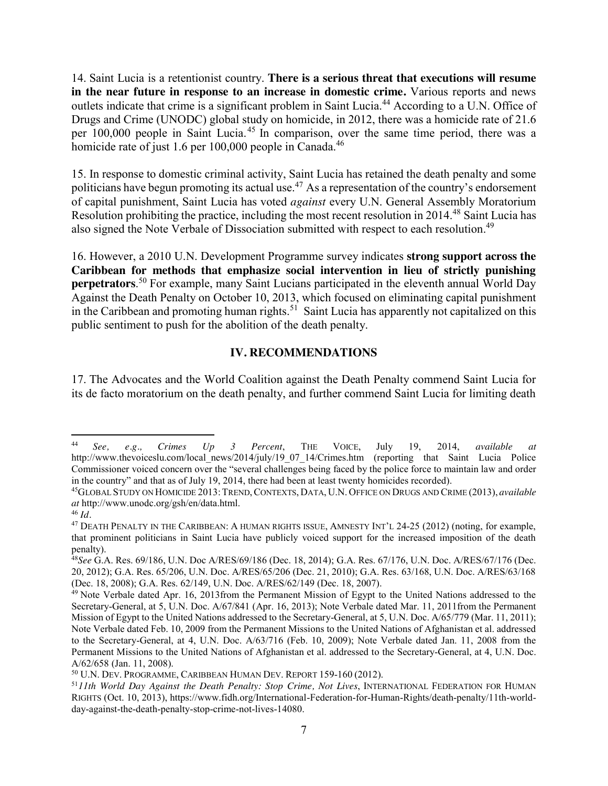14. Saint Lucia is a retentionist country. **There is a serious threat that executions will resume in the near future in response to an increase in domestic crime.** Various reports and news outlets indicate that crime is a significant problem in Saint Lucia.<sup>44</sup> According to a U.N. Office of Drugs and Crime (UNODC) global study on homicide, in 2012, there was a homicide rate of 21.6 per 100,000 people in Saint Lucia. <sup>45</sup> In comparison, over the same time period, there was a homicide rate of just 1.6 per 100,000 people in Canada.<sup>46</sup>

15. In response to domestic criminal activity, Saint Lucia has retained the death penalty and some politicians have begun promoting its actual use.<sup>47</sup> As a representation of the country's endorsement of capital punishment, Saint Lucia has voted *against* every U.N. General Assembly Moratorium Resolution prohibiting the practice, including the most recent resolution in 2014.<sup>48</sup> Saint Lucia has also signed the Note Verbale of Dissociation submitted with respect to each resolution.<sup>49</sup>

16. However, a 2010 U.N. Development Programme survey indicates **strong support across the Caribbean for methods that emphasize social intervention in lieu of strictly punishing perpetrators**. <sup>50</sup> For example, many Saint Lucians participated in the eleventh annual World Day Against the Death Penalty on October 10, 2013, which focused on eliminating capital punishment in the Caribbean and promoting human rights.<sup>51</sup> Saint Lucia has apparently not capitalized on this public sentiment to push for the abolition of the death penalty.

## **IV. RECOMMENDATIONS**

17. The Advocates and the World Coalition against the Death Penalty commend Saint Lucia for its de facto moratorium on the death penalty, and further commend Saint Lucia for limiting death

 <sup>44</sup> *See, e.g., Crimes Up 3 Percent*, THE VOICE, July 19, 2014, *available at*  http://www.thevoiceslu.com/local\_news/2014/july/19\_07\_14/Crimes.htm (reporting that Saint Lucia Police Commissioner voiced concern over the "several challenges being faced by the police force to maintain law and order in the country" and that as of July 19, 2014, there had been at least twenty homicides recorded). 45GLOBAL STUDY ON HOMICIDE 2013:TREND,CONTEXTS, DATA, U.N. OFFICE ON DRUGS AND CRIME (2013), *available* 

*at* http://www.unodc.org/gsh/en/data.html. <sup>46</sup> *Id.*

<sup>47</sup> DEATH PENALTY IN THE CARIBBEAN: A HUMAN RIGHTS ISSUE, AMNESTY INT'L 24-25 (2012) (noting, for example, that prominent politicians in Saint Lucia have publicly voiced support for the increased imposition of the death penalty).

<sup>48</sup>*See* G.A. Res. 69/186, U.N. Doc A/RES/69/186 (Dec. 18, 2014); G.A. Res. 67/176, U.N. Doc. A/RES/67/176 (Dec. 20, 2012); G.A. Res. 65/206, U.N. Doc. A/RES/65/206 (Dec. 21, 2010); G.A. Res. 63/168, U.N. Doc. A/RES/63/168 (Dec. 18, 2008); G.A. Res. 62/149, U.N. Doc. A/RES/62/149 (Dec. 18, 2007).

<sup>&</sup>lt;sup>49</sup> Note Verbale dated Apr. 16, 2013from the Permanent Mission of Egypt to the United Nations addressed to the Secretary-General, at 5, U.N. Doc. A/67/841 (Apr. 16, 2013); Note Verbale dated Mar. 11, 2011from the Permanent Mission of Egypt to the United Nations addressed to the Secretary-General, at 5, U.N. Doc. A/65/779 (Mar. 11, 2011); Note Verbale dated Feb. 10, 2009 from the Permanent Missions to the United Nations of Afghanistan et al. addressed to the Secretary-General, at 4, U.N. Doc. A/63/716 (Feb. 10, 2009); Note Verbale dated Jan. 11, 2008 from the Permanent Missions to the United Nations of Afghanistan et al. addressed to the Secretary-General, at 4, U.N. Doc. A/62/658 (Jan. 11, 2008).

<sup>50</sup> U.N. DEV. PROGRAMME, CARIBBEAN HUMAN DEV. REPORT 159-160 (2012).

<sup>51</sup>*11th World Day Against the Death Penalty: Stop Crime, Not Lives*, INTERNATIONAL FEDERATION FOR HUMAN RIGHTS (Oct. 10, 2013), https://www.fidh.org/International-Federation-for-Human-Rights/death-penalty/11th-worldday-against-the-death-penalty-stop-crime-not-lives-14080.